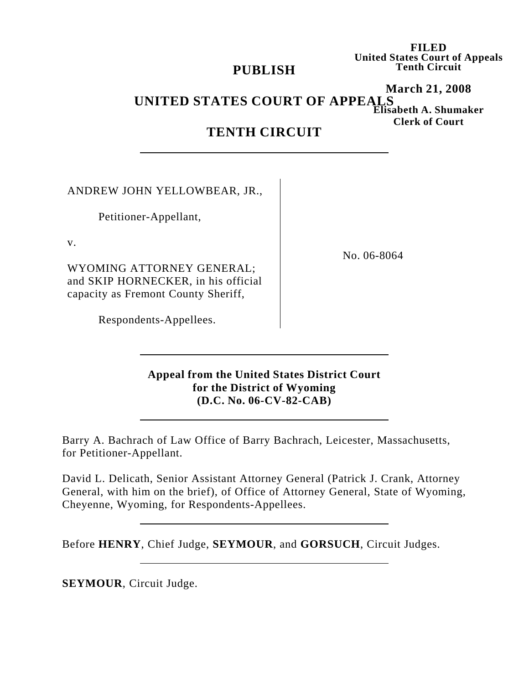## **PUBLISH**

**FILED United States Court of Appeals Tenth Circuit**

### **March 21, 2008 Elisabeth A. Shumaker Clerk of Court UNITED STATES COURT OF APPEALS**

# **TENTH CIRCUIT**

ANDREW JOHN YELLOWBEAR, JR.,

Petitioner-Appellant,

v.

WYOMING ATTORNEY GENERAL; and SKIP HORNECKER, in his official capacity as Fremont County Sheriff,

Respondents-Appellees.

No. 06-8064

## **Appeal from the United States District Court for the District of Wyoming (D.C. No. 06-CV-82-CAB)**

Barry A. Bachrach of Law Office of Barry Bachrach, Leicester, Massachusetts, for Petitioner-Appellant.

David L. Delicath, Senior Assistant Attorney General (Patrick J. Crank, Attorney General, with him on the brief), of Office of Attorney General, State of Wyoming, Cheyenne, Wyoming, for Respondents-Appellees.

Before **HENRY**, Chief Judge, **SEYMOUR**, and **GORSUCH**, Circuit Judges.

**SEYMOUR**, Circuit Judge.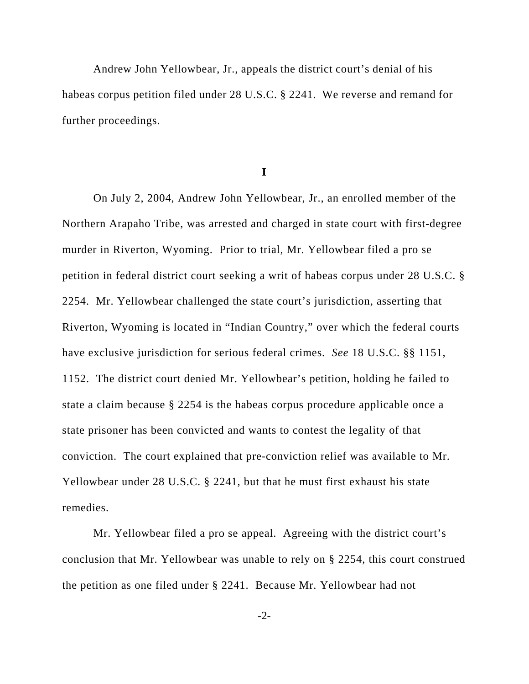Andrew John Yellowbear, Jr., appeals the district court's denial of his habeas corpus petition filed under 28 U.S.C. § 2241. We reverse and remand for further proceedings.

**I**

On July 2, 2004, Andrew John Yellowbear, Jr., an enrolled member of the Northern Arapaho Tribe, was arrested and charged in state court with first-degree murder in Riverton, Wyoming. Prior to trial, Mr. Yellowbear filed a pro se petition in federal district court seeking a writ of habeas corpus under 28 U.S.C. § 2254. Mr. Yellowbear challenged the state court's jurisdiction, asserting that Riverton, Wyoming is located in "Indian Country," over which the federal courts have exclusive jurisdiction for serious federal crimes. *See* 18 U.S.C. §§ 1151, 1152. The district court denied Mr. Yellowbear's petition, holding he failed to state a claim because § 2254 is the habeas corpus procedure applicable once a state prisoner has been convicted and wants to contest the legality of that conviction. The court explained that pre-conviction relief was available to Mr. Yellowbear under 28 U.S.C. § 2241, but that he must first exhaust his state remedies.

Mr. Yellowbear filed a pro se appeal. Agreeing with the district court's conclusion that Mr. Yellowbear was unable to rely on § 2254, this court construed the petition as one filed under § 2241. Because Mr. Yellowbear had not

-2-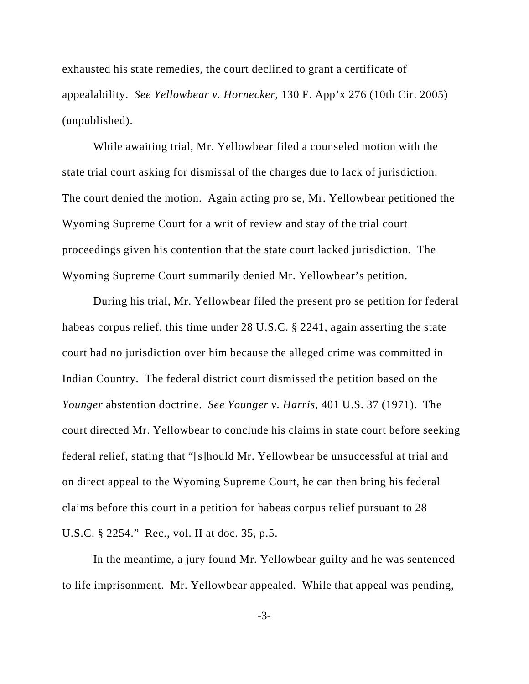exhausted his state remedies, the court declined to grant a certificate of appealability. *See Yellowbear v. Hornecker*, 130 F. App'x 276 (10th Cir. 2005) (unpublished).

While awaiting trial, Mr. Yellowbear filed a counseled motion with the state trial court asking for dismissal of the charges due to lack of jurisdiction. The court denied the motion. Again acting pro se, Mr. Yellowbear petitioned the Wyoming Supreme Court for a writ of review and stay of the trial court proceedings given his contention that the state court lacked jurisdiction. The Wyoming Supreme Court summarily denied Mr. Yellowbear's petition.

During his trial, Mr. Yellowbear filed the present pro se petition for federal habeas corpus relief, this time under 28 U.S.C. § 2241, again asserting the state court had no jurisdiction over him because the alleged crime was committed in Indian Country. The federal district court dismissed the petition based on the *Younger* abstention doctrine. *See Younger v. Harris*, 401 U.S. 37 (1971). The court directed Mr. Yellowbear to conclude his claims in state court before seeking federal relief, stating that "[s]hould Mr. Yellowbear be unsuccessful at trial and on direct appeal to the Wyoming Supreme Court, he can then bring his federal claims before this court in a petition for habeas corpus relief pursuant to 28 U.S.C. § 2254." Rec., vol. II at doc. 35, p.5.

In the meantime, a jury found Mr. Yellowbear guilty and he was sentenced to life imprisonment. Mr. Yellowbear appealed. While that appeal was pending,

-3-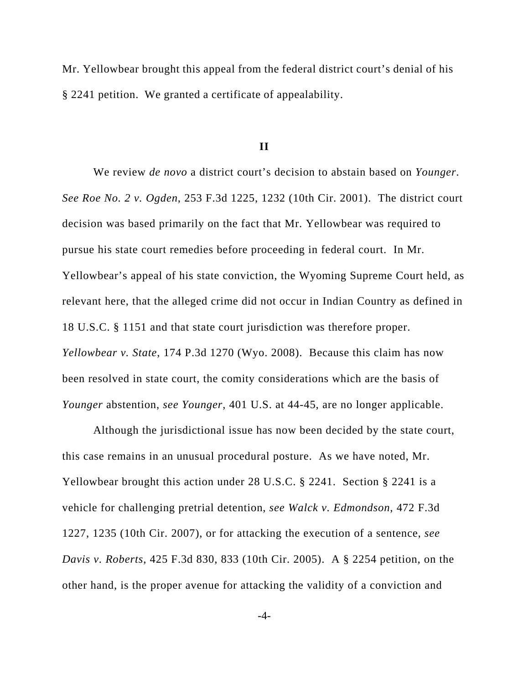Mr. Yellowbear brought this appeal from the federal district court's denial of his § 2241 petition. We granted a certificate of appealability.

#### **II**

We review *de novo* a district court's decision to abstain based on *Younger*. *See Roe No. 2 v. Ogden*, 253 F.3d 1225, 1232 (10th Cir. 2001). The district court decision was based primarily on the fact that Mr. Yellowbear was required to pursue his state court remedies before proceeding in federal court. In Mr. Yellowbear's appeal of his state conviction, the Wyoming Supreme Court held, as relevant here, that the alleged crime did not occur in Indian Country as defined in 18 U.S.C. § 1151 and that state court jurisdiction was therefore proper. *Yellowbear v. State*, 174 P.3d 1270 (Wyo. 2008). Because this claim has now been resolved in state court, the comity considerations which are the basis of *Younger* abstention, *see Younger*, 401 U.S. at 44-45, are no longer applicable.

Although the jurisdictional issue has now been decided by the state court, this case remains in an unusual procedural posture. As we have noted, Mr. Yellowbear brought this action under 28 U.S.C. § 2241. Section § 2241 is a vehicle for challenging pretrial detention, *see Walck v. Edmondson*, 472 F.3d 1227, 1235 (10th Cir. 2007), or for attacking the execution of a sentence, *see Davis v. Roberts*, 425 F.3d 830, 833 (10th Cir. 2005). A § 2254 petition, on the other hand, is the proper avenue for attacking the validity of a conviction and

-4-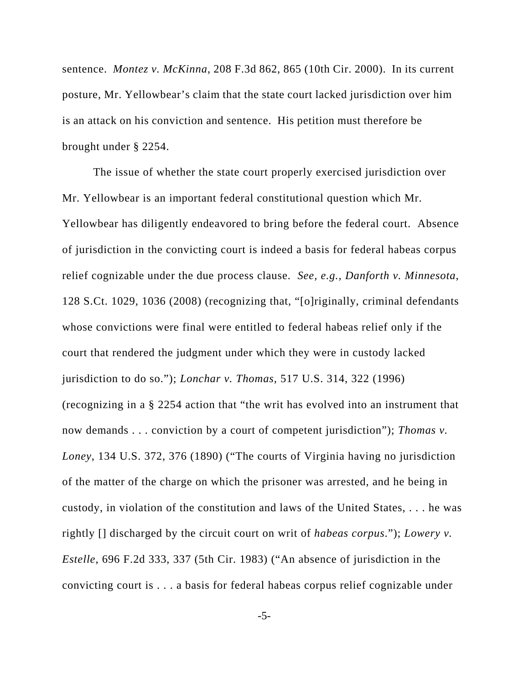sentence. *Montez v. McKinna*, 208 F.3d 862, 865 (10th Cir. 2000). In its current posture, Mr. Yellowbear's claim that the state court lacked jurisdiction over him is an attack on his conviction and sentence. His petition must therefore be brought under § 2254.

The issue of whether the state court properly exercised jurisdiction over Mr. Yellowbear is an important federal constitutional question which Mr. Yellowbear has diligently endeavored to bring before the federal court. Absence of jurisdiction in the convicting court is indeed a basis for federal habeas corpus relief cognizable under the due process clause. *See, e.g., Danforth v. Minnesota*, 128 S.Ct. 1029, 1036 (2008) (recognizing that, "[o]riginally, criminal defendants whose convictions were final were entitled to federal habeas relief only if the court that rendered the judgment under which they were in custody lacked jurisdiction to do so."); *Lonchar v. Thomas*, 517 U.S. 314, 322 (1996) (recognizing in a § 2254 action that "the writ has evolved into an instrument that now demands . . . conviction by a court of competent jurisdiction"); *Thomas v. Loney*, 134 U.S. 372, 376 (1890) ("The courts of Virginia having no jurisdiction of the matter of the charge on which the prisoner was arrested, and he being in custody, in violation of the constitution and laws of the United States, . . . he was rightly [] discharged by the circuit court on writ of *habeas corpus*."); *Lowery v. Estelle*, 696 F.2d 333, 337 (5th Cir. 1983) ("An absence of jurisdiction in the convicting court is . . . a basis for federal habeas corpus relief cognizable under

-5-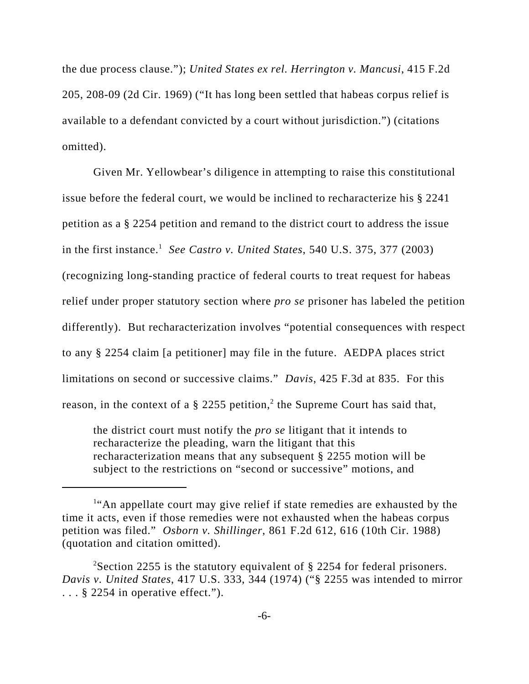the due process clause."); *United States ex rel. Herrington v. Mancusi*, 415 F.2d 205, 208-09 (2d Cir. 1969) ("It has long been settled that habeas corpus relief is available to a defendant convicted by a court without jurisdiction.") (citations omitted).

Given Mr. Yellowbear's diligence in attempting to raise this constitutional issue before the federal court, we would be inclined to recharacterize his § 2241 petition as a § 2254 petition and remand to the district court to address the issue in the first instance.<sup>1</sup> See Castro *v. United States*, 540 U.S. 375, 377 (2003) (recognizing long-standing practice of federal courts to treat request for habeas relief under proper statutory section where *pro se* prisoner has labeled the petition differently). But recharacterization involves "potential consequences with respect to any § 2254 claim [a petitioner] may file in the future. AEDPA places strict limitations on second or successive claims." *Davis*, 425 F.3d at 835. For this reason, in the context of a  $\S$  2255 petition,<sup>2</sup> the Supreme Court has said that,

the district court must notify the *pro se* litigant that it intends to recharacterize the pleading, warn the litigant that this recharacterization means that any subsequent § 2255 motion will be subject to the restrictions on "second or successive" motions, and

<sup>&</sup>lt;sup>1</sup>"An appellate court may give relief if state remedies are exhausted by the time it acts, even if those remedies were not exhausted when the habeas corpus petition was filed." *Osborn v. Shillinger*, 861 F.2d 612, 616 (10th Cir. 1988) (quotation and citation omitted).

<sup>&</sup>lt;sup>2</sup>Section 2255 is the statutory equivalent of  $\S$  2254 for federal prisoners. *Davis v. United States*, 417 U.S. 333, 344 (1974) ("§ 2255 was intended to mirror ... § 2254 in operative effect.").